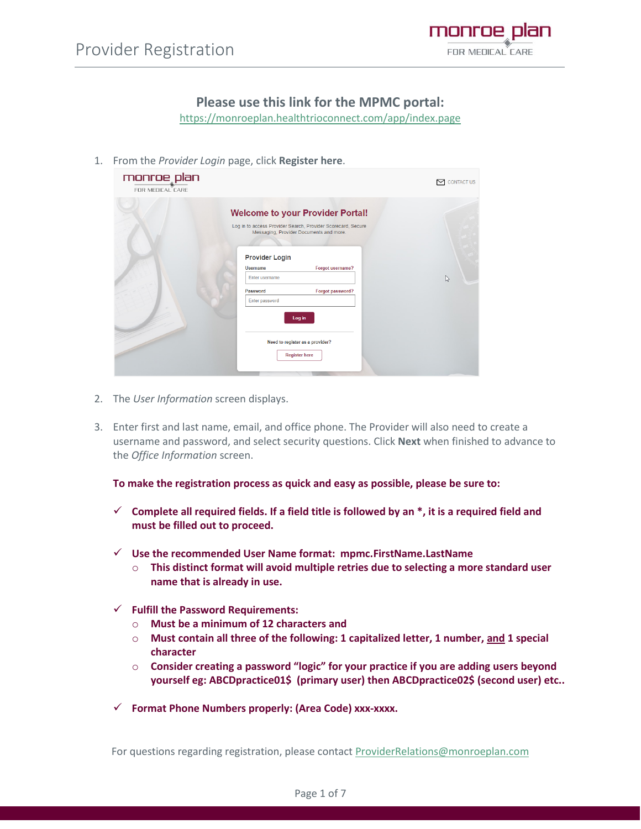

## **Please use this link for the MPMC portal:**

<https://monroeplan.healthtrioconnect.com/app/index.page>

1. From the *Provider Login* page, click **Register here**.

| monroe plan<br>FOR MEDICAL CARE |                                                                                          |                                                                                                                                                                                                                                                                 | <b>CONTACT US</b><br>r |
|---------------------------------|------------------------------------------------------------------------------------------|-----------------------------------------------------------------------------------------------------------------------------------------------------------------------------------------------------------------------------------------------------------------|------------------------|
|                                 | <b>Provider Login</b><br><b>Username</b><br>Enter username<br>Password<br>Enter password | <b>Welcome to your Provider Portal!</b><br>Log in to access Provider Search, Provider Scorecard, Secure<br>Messaging, Provider Documents and more.<br>Forgot username?<br>Forgot password?<br>Log in<br>Need to register as a provider?<br><b>Register here</b> | グ                      |
|                                 |                                                                                          |                                                                                                                                                                                                                                                                 |                        |

- 2. The *User Information* screen displays.
- 3. Enter first and last name, email, and office phone. The Provider will also need to create a username and password, and select security questions. Click **Next** when finished to advance to the *Office Information* screen.

**To make the registration process as quick and easy as possible, please be sure to:** 

- $\checkmark$  Complete all required fields. If a field title is followed by an  $*$ , it is a required field and **must be filled out to proceed.**
- ✓ **Use the recommended User Name format: mpmc.FirstName.LastName** 
	- o **This distinct format will avoid multiple retries due to selecting a more standard user name that is already in use.**
- ✓ **Fulfill the Password Requirements:** 
	- o **Must be a minimum of 12 characters and**
	- o **Must contain all three of the following: 1 capitalized letter, 1 number, and 1 special character**
	- o **Consider creating a password "logic" for your practice if you are adding users beyond yourself eg: ABCDpractice01\$ (primary user) then ABCDpractice02\$ (second user) etc..**
- ✓ **Format Phone Numbers properly: (Area Code) xxx-xxxx.**

For questions regarding registration, please contact [ProviderRelations@monroeplan.com](mailto:ProviderRelations@monroeplan.com)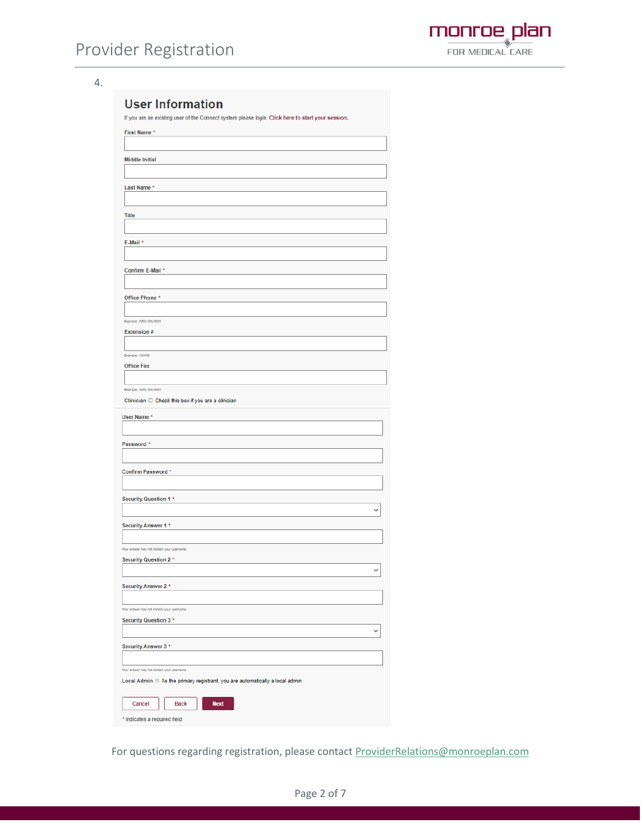

4.

|                                                                           | If you are an existing user of the Connect system please login. Click here to start your session. |
|---------------------------------------------------------------------------|---------------------------------------------------------------------------------------------------|
| <b>First Name *</b>                                                       |                                                                                                   |
|                                                                           |                                                                                                   |
| <b>Middle Initial</b>                                                     |                                                                                                   |
|                                                                           |                                                                                                   |
| Last Name *                                                               |                                                                                                   |
|                                                                           |                                                                                                   |
| <b>Title</b>                                                              |                                                                                                   |
|                                                                           |                                                                                                   |
| E-Mail *                                                                  |                                                                                                   |
|                                                                           |                                                                                                   |
|                                                                           |                                                                                                   |
| Confirm E-Mail *                                                          |                                                                                                   |
|                                                                           |                                                                                                   |
| Office Phone *                                                            |                                                                                                   |
| Example: (555) 555-5555                                                   |                                                                                                   |
| Extension #                                                               |                                                                                                   |
|                                                                           |                                                                                                   |
| Example: 123456                                                           |                                                                                                   |
| <b>Office Fax</b>                                                         |                                                                                                   |
|                                                                           |                                                                                                   |
| Example: (555) 555-5555                                                   |                                                                                                   |
|                                                                           | Clinician $\Box$ Check this box if you are a clinician                                            |
| User Name *                                                               |                                                                                                   |
|                                                                           |                                                                                                   |
| Password *                                                                |                                                                                                   |
|                                                                           |                                                                                                   |
| Confirm Password *                                                        |                                                                                                   |
|                                                                           |                                                                                                   |
| <b>Security Question 1 *</b>                                              |                                                                                                   |
|                                                                           |                                                                                                   |
| Security Answer 1 *                                                       |                                                                                                   |
|                                                                           |                                                                                                   |
| Your answer may not contain your usemame.                                 |                                                                                                   |
| <b>Security Question 2 *</b>                                              |                                                                                                   |
|                                                                           |                                                                                                   |
| Security Answer 2 *                                                       |                                                                                                   |
|                                                                           |                                                                                                   |
| Your answer may not contain your usemame.<br><b>Security Question 3 *</b> |                                                                                                   |
|                                                                           |                                                                                                   |
|                                                                           |                                                                                                   |
| Security Answer 3 *                                                       |                                                                                                   |
| Your answer may not contain your usemame.                                 |                                                                                                   |
|                                                                           | Local Admin 2 As the primary registrant, you are automatically a local admin                      |
|                                                                           |                                                                                                   |
|                                                                           |                                                                                                   |
| Cancel                                                                    | <b>Next</b><br><b>Back</b>                                                                        |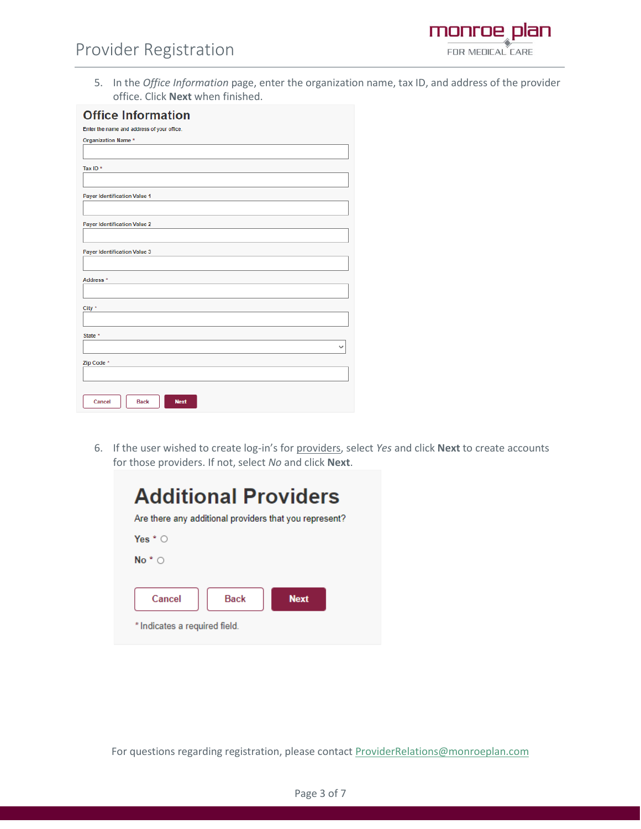5. In the *Office Information* page, enter the organization name, tax ID, and address of the provider office. Click **Next** when finished.

monroe plan FOR MEDICAL CARE

| <b>Office Information</b>                  |
|--------------------------------------------|
| Enter the name and address of your office. |
| Organization Name *                        |
|                                            |
| Tax ID*                                    |
|                                            |
| <b>Payer Identification Value 1</b>        |
|                                            |
| <b>Payer Identification Value 2</b>        |
|                                            |
| Payer Identification Value 3               |
|                                            |
| Address *                                  |
|                                            |
| City <sup>*</sup>                          |
|                                            |
| State *                                    |
| $\check{ }$                                |
| Zip Code *                                 |
|                                            |
|                                            |
| Cancel<br><b>Back</b><br><b>Next</b>       |

6. If the user wished to create log-in's for providers, select *Yes* and click **Next** to create accounts for those providers. If not, select *No* and click **Next**.

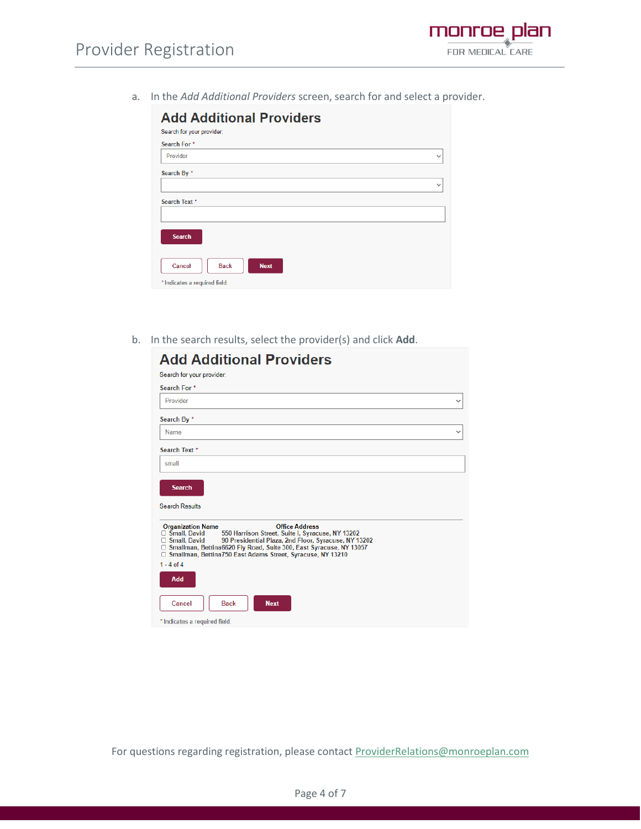

a. In the *Add Additional Providers* screen, search for and select a provider.

| <b>Add Additional Providers</b><br>Search for your provider: |              |
|--------------------------------------------------------------|--------------|
| Search For *                                                 |              |
| Provider                                                     | $\checkmark$ |
| Search By *                                                  |              |
|                                                              | $\checkmark$ |
| Search Text *                                                |              |
|                                                              |              |
| <b>Search</b>                                                |              |
| Cancel<br><b>Next</b><br><b>Back</b>                         |              |
| * Indicates a required field.                                |              |

b. In the search results, select the provider(s) and click **Add**.

| <b>Add Additional Providers</b>                                                                                                                                                                                                                                                                                                                     |
|-----------------------------------------------------------------------------------------------------------------------------------------------------------------------------------------------------------------------------------------------------------------------------------------------------------------------------------------------------|
| Search for your provider:                                                                                                                                                                                                                                                                                                                           |
| Search For <sup>*</sup>                                                                                                                                                                                                                                                                                                                             |
| Provider<br>◡                                                                                                                                                                                                                                                                                                                                       |
| Search By *                                                                                                                                                                                                                                                                                                                                         |
| Name<br>v                                                                                                                                                                                                                                                                                                                                           |
| Search Text *                                                                                                                                                                                                                                                                                                                                       |
| small                                                                                                                                                                                                                                                                                                                                               |
| <b>Search</b><br><b>Search Results</b>                                                                                                                                                                                                                                                                                                              |
| <b>Office Address</b><br><b>Organization Name</b><br>$\Box$ Small, David<br>550 Harrison Street, Suite I, Syracuse, NY 13202<br>90 Presidential Plaza, 2nd Floor, Syracuse, NY 13202<br>$\Box$ Small, David<br>□ Smallman, Bettina6620 Fly Road, Suite 300, East Syracuse, NY 13057<br>□ Smallman, Bettina750 East Adams Street, Syracuse, NY 13210 |
| $1 - 4$ of $4$                                                                                                                                                                                                                                                                                                                                      |
| Add                                                                                                                                                                                                                                                                                                                                                 |
| Cancel<br><b>Back</b><br><b>Next</b>                                                                                                                                                                                                                                                                                                                |
| * Indicates a required field.                                                                                                                                                                                                                                                                                                                       |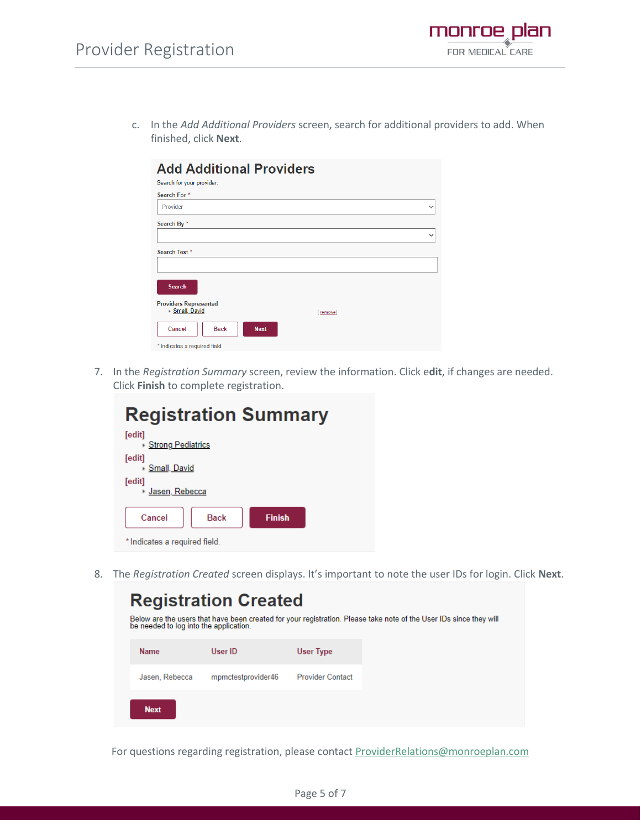- plan monroe FOR MEDICAL CARE
- c. In the *Add Additional Providers* screen, search for additional providers to add. When finished, click **Next**.

| <b>Add Additional Providers</b>                |              |
|------------------------------------------------|--------------|
| Search for your provider:                      |              |
| Search For *                                   |              |
| Provider                                       | $\checkmark$ |
| Search By *                                    |              |
|                                                | $\checkmark$ |
| Search Text *                                  |              |
|                                                |              |
| <b>Search</b>                                  |              |
| <b>Providers Represented</b><br>▶ Small, David | [remove]     |
| Cancel<br><b>Back</b><br><b>Next</b>           |              |
| * Indicates a required field.                  |              |

7. In the *Registration Summary* screen, review the information. Click e**dit**, if changes are needed. Click **Finish** to complete registration.

| <b>Registration Summary</b>            |  |  |  |  |  |
|----------------------------------------|--|--|--|--|--|
| [edit]<br>▸ Strong Pediatrics          |  |  |  |  |  |
| [edit]<br>▶ Small, David               |  |  |  |  |  |
| [edit]<br>∗ Jasen, Rebecca             |  |  |  |  |  |
| Cancel<br><b>Back</b><br><b>Finish</b> |  |  |  |  |  |
| * Indicates a required field.          |  |  |  |  |  |

8. The *Registration Created* screen displays. It's important to note the user IDs for login. Click **Next**.

| <b>Registration Created</b>                                                                                                                                  |                    |                         |  |  |  |  |
|--------------------------------------------------------------------------------------------------------------------------------------------------------------|--------------------|-------------------------|--|--|--|--|
| Below are the users that have been created for your registration. Please take note of the User IDs since they will<br>be needed to log into the application. |                    |                         |  |  |  |  |
| <b>Name</b>                                                                                                                                                  | User ID            | User Type               |  |  |  |  |
| Jasen, Rebecca                                                                                                                                               | mpmctestprovider46 | <b>Provider Contact</b> |  |  |  |  |
| <b>Next</b>                                                                                                                                                  |                    |                         |  |  |  |  |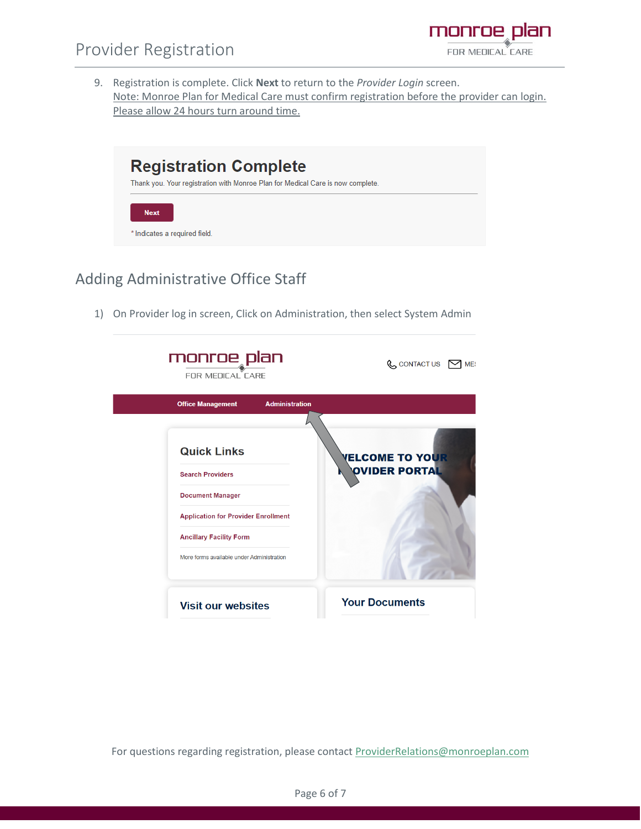- monroe plan FOR MEDICAL CARE
- 9. Registration is complete. Click **Next** to return to the *Provider Login* screen. Note: Monroe Plan for Medical Care must confirm registration before the provider can login. Please allow 24 hours turn around time.



## Adding Administrative Office Staff

1) On Provider log in screen, Click on Administration, then select System Admin



For questions regarding registration, please contact [ProviderRelations@monroeplan.com](mailto:ProviderRelations@monroeplan.com)